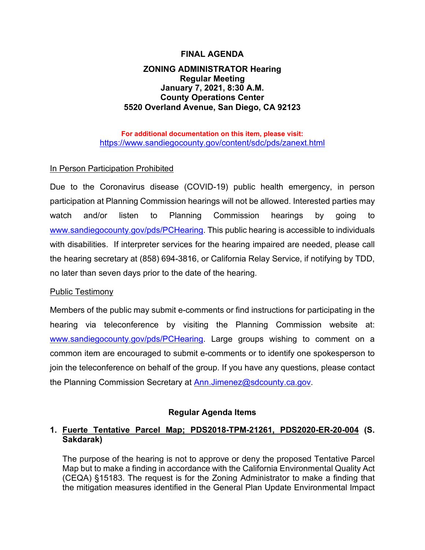## **FINAL AGENDA**

## **ZONING ADMINISTRATOR Hearing Regular Meeting January 7, 2021, 8:30 A.M. County Operations Center 5520 Overland Avenue, San Diego, CA 92123**

**For additional documentation on this item, please visit:** <https://www.sandiegocounty.gov/content/sdc/pds/zanext.html>

# In Person Participation Prohibited

Due to the Coronavirus disease (COVID-19) public health emergency, in person participation at Planning Commission hearings will not be allowed. Interested parties may watch and/or listen to Planning Commission hearings by going to [www.sandiegocounty.gov/pds/PCHearing.](http://www.sandiegocounty.gov/pds/PCHearing) This public hearing is accessible to individuals with disabilities. If interpreter services for the hearing impaired are needed, please call the hearing secretary at (858) 694-3816, or California Relay Service, if notifying by TDD, no later than seven days prior to the date of the hearing.

#### Public Testimony

Members of the public may submit e-comments or find instructions for participating in the hearing via teleconference by visiting the Planning Commission website at: [www.sandiegocounty.gov/pds/PCHearing.](http://www.sandiegocounty.gov/pds/PCHearing) Large groups wishing to comment on a common item are encouraged to submit e-comments or to identify one spokesperson to join the teleconference on behalf of the group. If you have any questions, please contact the Planning Commission Secretary at [Ann.Jimenez@sdcounty.ca.gov.](mailto:Ann.Jimenez@sdcounty.ca.gov)

## **Regular Agenda Items**

# **1. Fuerte Tentative Parcel Map; PDS2018-TPM-21261, PDS2020-ER-20-004 (S. Sakdarak)**

The purpose of the hearing is not to approve or deny the proposed Tentative Parcel Map but to make a finding in accordance with the California Environmental Quality Act (CEQA) §15183. The request is for the Zoning Administrator to make a finding that the mitigation measures identified in the General Plan Update Environmental Impact